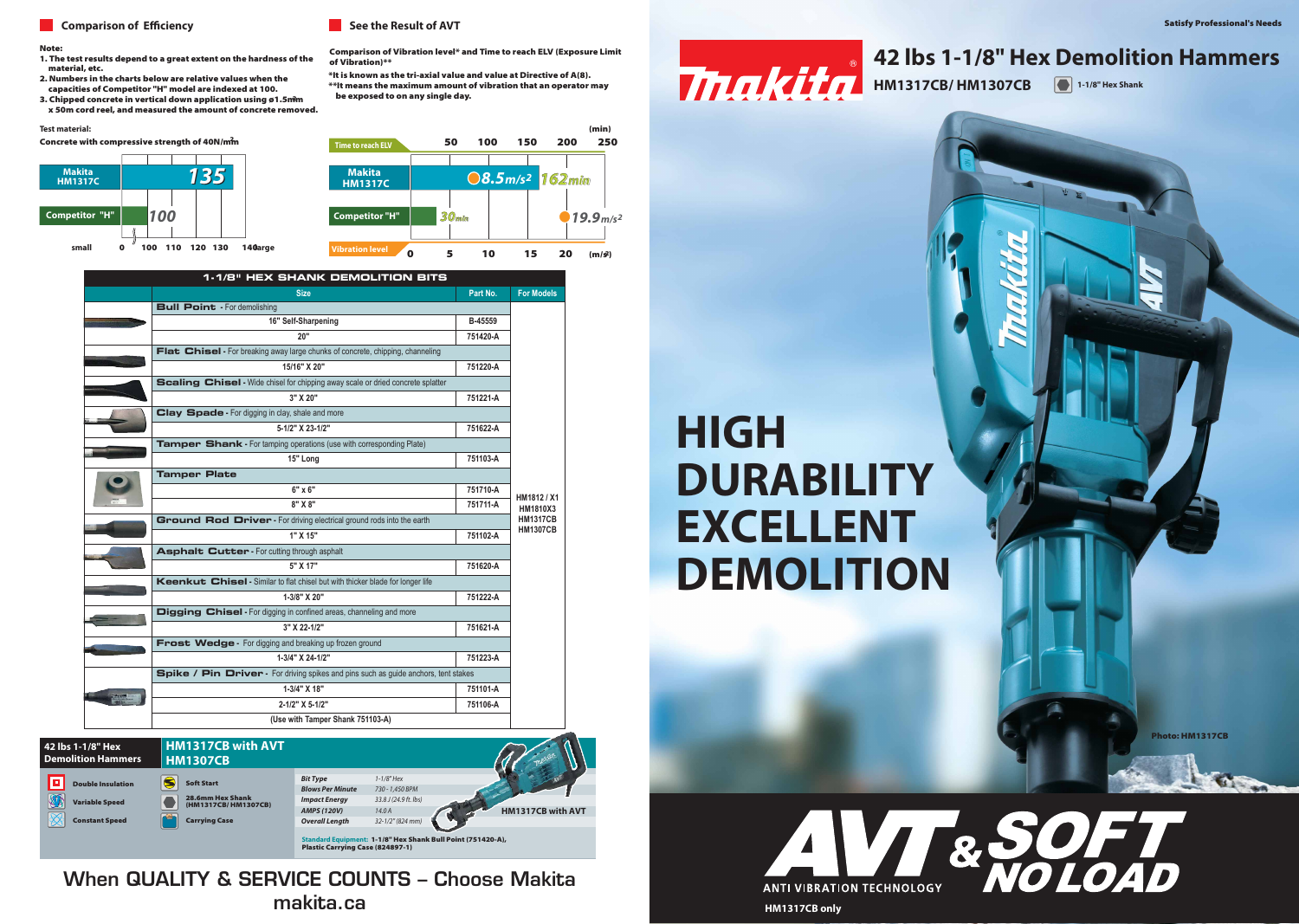Photo: HM1317CB

 $\alpha$ 

#### **Comparison of Efficiency Comparison of Efficiency**

#### Note:

- 1. The test results depend to a great extent on the hardness of the material, etc.
- 2. Numbers in the charts below are relative values when the capacities of Competitor "H" model are indexed at 100.
- 3. Chipped concrete in vertical down application using ø1.5mm x 50m cord reel, and measured the amount of concrete removed.

#### **Test material:**

Concrete with compressive strength of 40N/mm

Comparison of Vibration level\* and Time to reach ELV (Exposure Limit of Vibration)\*\*



\*It is known as the tri-axial value and value at Directive of A(8). \*\*It means the maximum amount of vibration that an operator may be exposed to on any single day.

## **HM1317CB/ HM1307CB**

## **HIGH DURABILITY EXCELLENT DEMOLITION**

#### **42 lbs 1-1/8" Hex Demolition Hammers**

**1-1/8" Hex Shank**







|  | <b>1-1/8" HEX SHANK DEMOLITION BITS</b>                                                |          |                                |  |
|--|----------------------------------------------------------------------------------------|----------|--------------------------------|--|
|  | <b>Size</b>                                                                            | Part No. | <b>For Models</b>              |  |
|  | <b>Bull Point</b> - For demolishing                                                    |          |                                |  |
|  | 16" Self-Sharpening                                                                    | B-45559  |                                |  |
|  | 20"                                                                                    | 751420-A |                                |  |
|  | Flat Chisel - For breaking away large chunks of concrete, chipping, channeling         |          |                                |  |
|  | 15/16" X 20"                                                                           | 751220-A |                                |  |
|  | <b>Scaling Chisel</b> - Wide chisel for chipping away scale or dried concrete splatter |          |                                |  |
|  | 3" X 20"                                                                               | 751221-A |                                |  |
|  | Clay Spade - For digging in clay, shale and more                                       |          |                                |  |
|  | 5-1/2" X 23-1/2"                                                                       | 751622-A |                                |  |
|  | Tamper Shank - For tamping operations (use with corresponding Plate)                   |          |                                |  |
|  | 15" Long                                                                               | 751103-A |                                |  |
|  | <b>Tamper Plate</b>                                                                    |          |                                |  |
|  | $6" \times 6"$                                                                         | 751710-A | HM1812 / X1<br><b>HM1810X3</b> |  |
|  | 8" X 8"                                                                                | 751711-A |                                |  |
|  | Ground Rod Driver - For driving electrical ground rods into the earth                  |          |                                |  |
|  | 1" X 15"                                                                               | 751102-A | <b>HM1307CB</b>                |  |
|  | <b>Asphalt Cutter - For cutting through asphalt</b>                                    |          |                                |  |
|  | 5" X 17"                                                                               | 751620-A |                                |  |
|  | <b>Keenkut Chisel</b> - Similar to flat chisel but with thicker blade for longer life  |          |                                |  |
|  | 1-3/8" X 20"                                                                           | 751222-A |                                |  |
|  | Digging Chisel - For digging in confined areas, channeling and more                    |          |                                |  |
|  | 3" X 22-1/2"                                                                           | 751621-A |                                |  |
|  | Frost Wedge - For digging and breaking up frozen ground                                |          |                                |  |
|  | 1-3/4" X 24-1/2"                                                                       | 751223-A |                                |  |
|  | Spike / Pin Driver - For driving spikes and pins such as guide anchors, tent stakes    |          |                                |  |
|  | 1-3/4" X 18"                                                                           | 751101-A |                                |  |
|  | 2-1/2" X 5-1/2"                                                                        | 751106-A |                                |  |
|  | (Use with Tamper Shank 751103-A)                                                       |          |                                |  |

**3 po X 20 po 751221-A** When QUALITY & SERVICE COUNTS – Choose Makita **Burin-bêche -** creusage dans l'argile, le schiste et plus makita.ca **5-1/2 po X 23-1/2 po 751622-A**